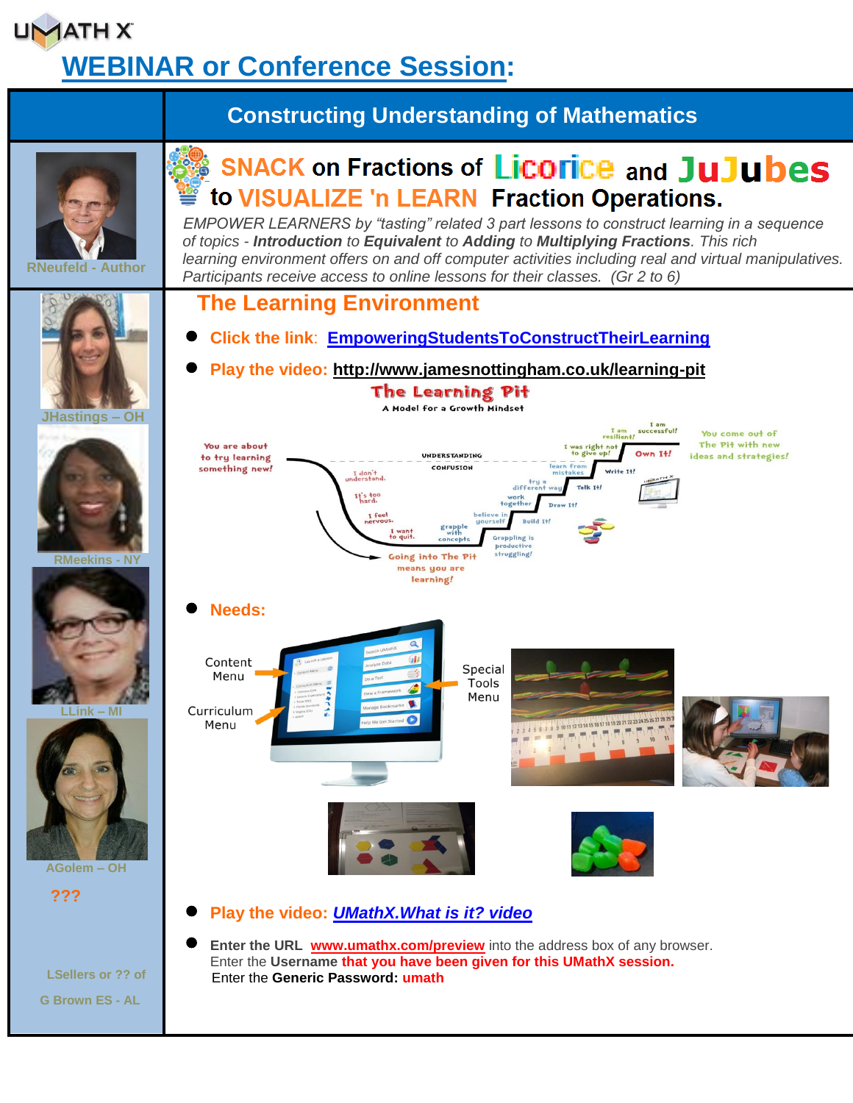# **UMATHX WEBINAR or Conference Session:**

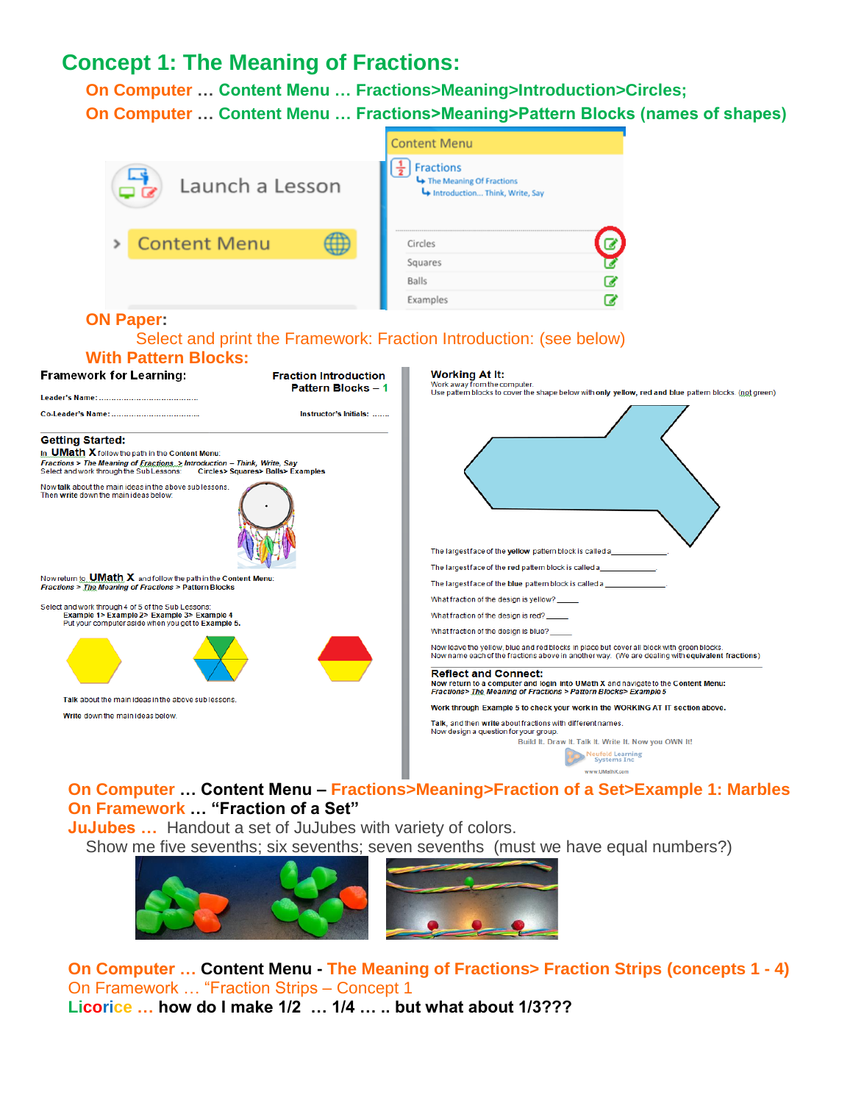### **Concept 1: The Meaning of Fractions:**

**On Computer … Content Menu … Fractions>Meaning>Introduction>Circles; On Computer … Content Menu … Fractions>Meaning>Pattern Blocks (names of shapes)**



#### **On Framework … "Fraction of a Set"**

 **JuJubes …** Handout a set of JuJubes with variety of colors. Show me five sevenths; six sevenths; seven sevenths (must we have equal numbers?)



 **On Computer … Content Menu - The Meaning of Fractions> Fraction Strips (concepts 1 - 4)** On Framework … "Fraction Strips – Concept 1  **Licorice … how do I make 1/2 … 1/4 … .. but what about 1/3???**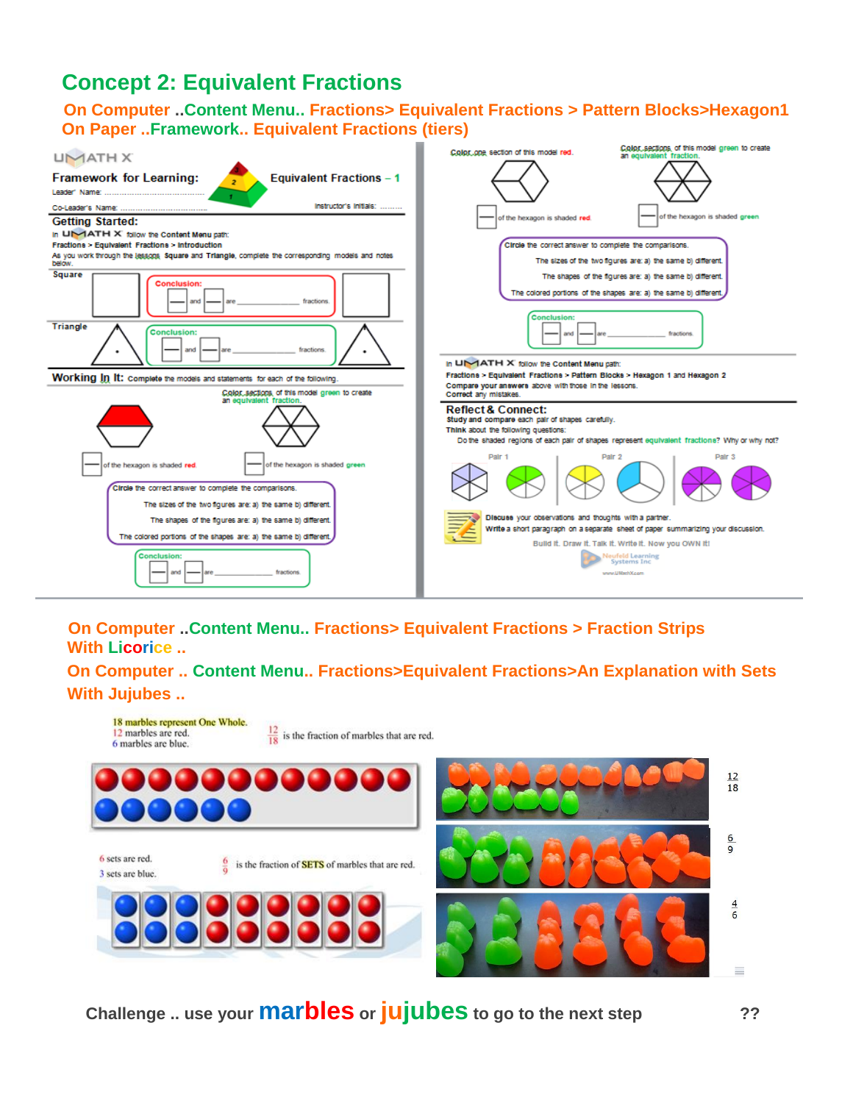## **Concept 2: Equivalent Fractions**

#### **On Computer ..Content Menu.. Fractions> Equivalent Fractions > Pattern Blocks>Hexagon1 On Paper ..Framework.. Equivalent Fractions (tiers)**



#### **On Computer ..Content Menu.. Fractions> Equivalent Fractions > Fraction Strips With Licorice ..**

**On Computer .. Content Menu.. Fractions>Equivalent Fractions>An Explanation with Sets With Jujubes ..** 



**Challenge .. use your marbles or jujubes to go to the next step ??**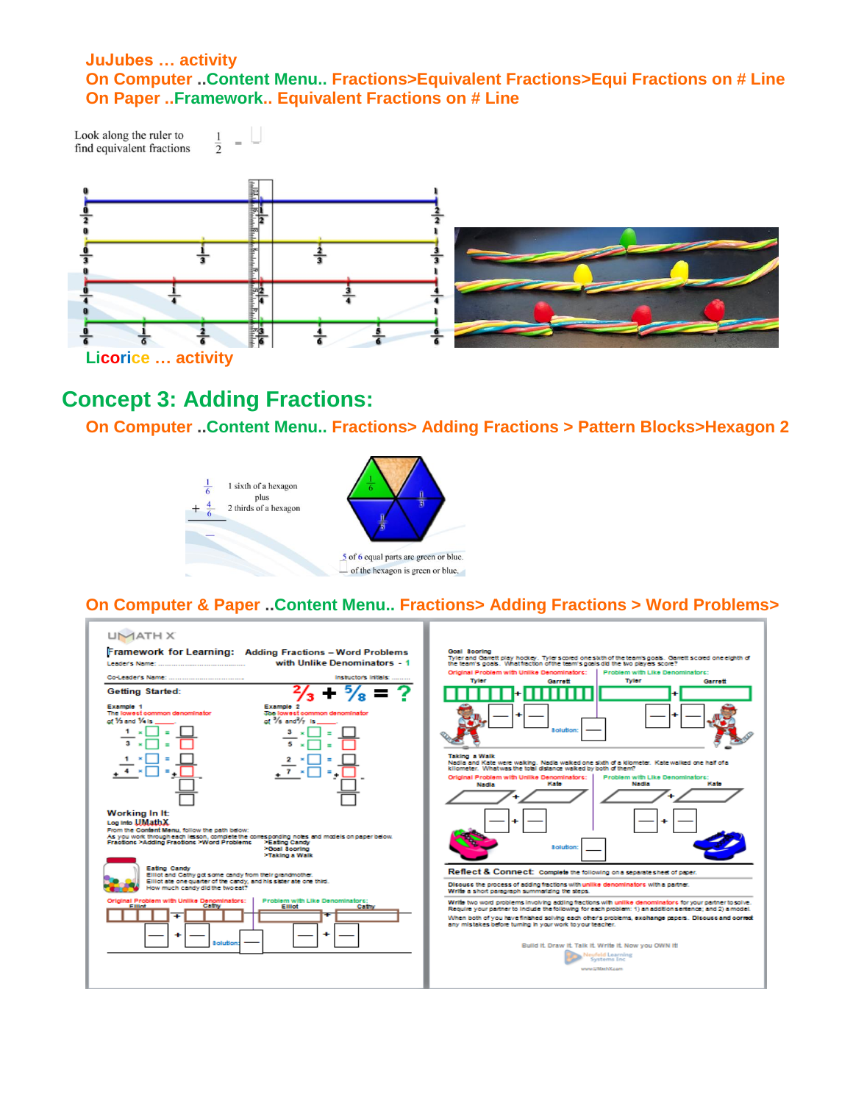#### **JuJubes … activity On Computer ..Content Menu.. Fractions>Equivalent Fractions>Equi Fractions on # Line On Paper ..Framework.. Equivalent Fractions on # Line**

Look along the ruler to  $\frac{1}{2}$ find equivalent fractions



### **Concept 3: Adding Fractions:**

 $=$   $\overline{ }$ 

**On Computer ..Content Menu.. Fractions> Adding Fractions > Pattern Blocks>Hexagon 2**



#### **On Computer & Paper ..Content Menu.. Fractions> Adding Fractions > Word Problems>**